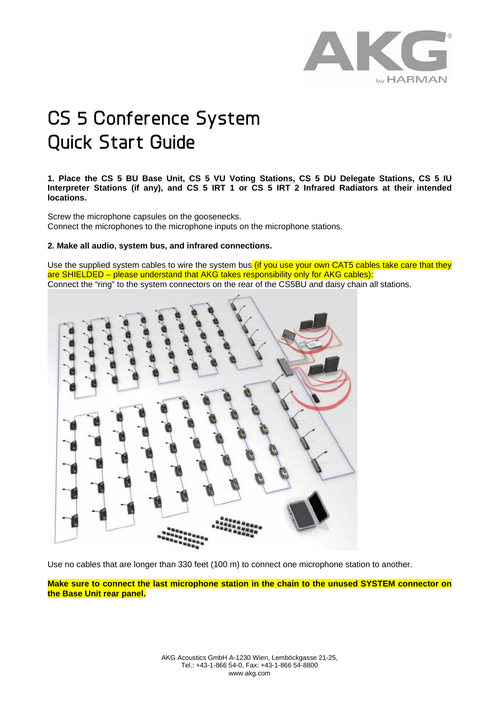

# **CS 5 Conference System Quick Start Guide**

**1. Place the CS 5 BU Base Unit, CS 5 VU Voting Stations, CS 5 DU Delegate Stations, CS 5 IU Interpreter Stations (if any), and CS 5 IRT 1 or CS 5 IRT 2 Infrared Radiators at their intended locations.** 

Screw the microphone capsules on the goosenecks. Connect the microphones to the microphone inputs on the microphone stations.

# **2. Make all audio, system bus, and infrared connections.**

Use the supplied system cables to wire the system bus (if you use your own CAT5 cables take care that they are SHIELDED – please understand that AKG takes responsibility only for AKG cables): Connect the "ring" to the system connectors on the rear of the CS5BU and daisy chain all stations.



Use no cables that are longer than 330 feet (100 m) to connect one microphone station to another.

**Make sure to connect the last microphone station in the chain to the unused SYSTEM connector on the Base Unit rear panel.**